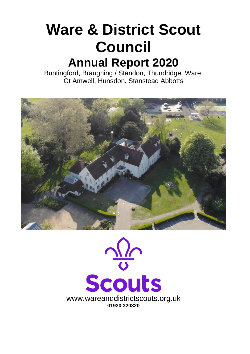# **Ware & District Scout Council Annual Report 2020**

Buntingford, Braughing / Standon, Thundridge, Ware, Gt Amwell, Hunsdon, Stanstead Abbotts



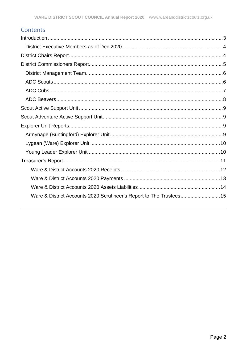### Contents

| Ware & District Accounts 2020 Scrutineer's Report to The Trustees 15 |
|----------------------------------------------------------------------|
|                                                                      |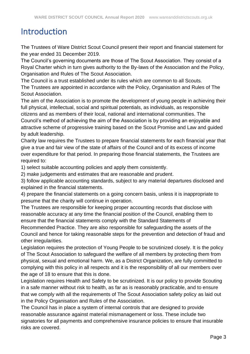### <span id="page-2-0"></span>Introduction

The Trustees of Ware District Scout Council present their report and financial statement for the year ended 31 December 2019.

The Council's governing documents are those of The Scout Association. They consist of a Royal Charter which in turn gives authority to the By-laws of the Association and the Policy, Organisation and Rules of The Scout Association.

The Council is a trust established under its rules which are common to all Scouts.

The Trustees are appointed in accordance with the Policy, Organisation and Rules of The Scout Association.

The aim of the Association is to promote the development of young people in achieving their full physical, intellectual, social and spiritual potentials, as individuals, as responsible citizens and as members of their local, national and international communities. The

Council's method of achieving the aim of the Association is by providing an enjoyable and attractive scheme of progressive training based on the Scout Promise and Law and guided by adult leadership.

Charity law requires the Trustees to prepare financial statements for each financial year that give a true and fair view of the state of affairs of the Council and of its excess of income over expenditure for that period. In preparing those financial statements, the Trustees are required to:

1) select suitable accounting policies and apply them consistently.

2) make judgements and estimates that are reasonable and prudent.

3) follow applicable accounting standards, subject to any material departures disclosed and explained in the financial statements.

4) prepare the financial statements on a going concern basis, unless it is inappropriate to presume that the charity will continue in operation.

The Trustees are responsible for keeping proper accounting records that disclose with reasonable accuracy at any time the financial position of the Council, enabling them to ensure that the financial statements comply with the Standard Statements of

Recommended Practice. They are also responsible for safeguarding the assets of the Council and hence for taking reasonable steps for the prevention and detection of fraud and other irregularities.

Legislation requires the protection of Young People to be scrutinized closely. It is the policy of The Scout Association to safeguard the welfare of all members by protecting them from physical, sexual and emotional harm. We, as a District Organization, are fully committed to complying with this policy in all respects and it is the responsibility of all our members over the age of 18 to ensure that this is done.

Legislation requires Health and Safety to be scrutinized. It is our policy to provide Scouting in a safe manner without risk to health, as far as is reasonably practicable, and to ensure that we comply with all the requirements of The Scout Association safety policy as laid out in the Policy Organisation and Rules of the Association.

The Council has in place a system of internal controls that are designed to provide reasonable assurance against material mismanagement or loss. These include two signatories for all payments and comprehensive insurance policies to ensure that insurable risks are covered.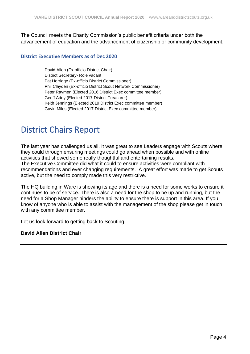The Council meets the Charity Commission's public benefit criteria under both the advancement of education and the advancement of citizenship or community development.

#### <span id="page-3-0"></span>**District Executive Members as of Dec 2020**

David Allen (Ex-officio District Chair) District Secretary- Role vacant Pat Horridge (Ex-officio District Commissioner) Phil Clayden (Ex-officio District Scout Network Commissioner) Peter Raymen (Elected 2016 District Exec committee member) Geoff Addy (Elected 2017 District Treasurer) Keith Jennings (Elected 2019 District Exec committee member) Gavin Miles (Elected 2017 District Exec committee member)

### <span id="page-3-1"></span>District Chairs Report

The last year has challenged us all. It was great to see Leaders engage with Scouts where they could through ensuring meetings could go ahead when possible and with online activities that showed some really thoughtful and entertaining results.

The Executive Committee did what it could to ensure activities were compliant with recommendations and ever changing requirements. A great effort was made to get Scouts active, but the need to comply made this very restrictive.

The HQ building in Ware is showing its age and there is a need for some works to ensure it continues to be of service. There is also a need for the shop to be up and running, but the need for a Shop Manager hinders the ability to ensure there is support in this area. If you know of anyone who is able to assist with the management of the shop please get in touch with any committee member.

Let us look forward to getting back to Scouting.

#### **David Allen District Chair**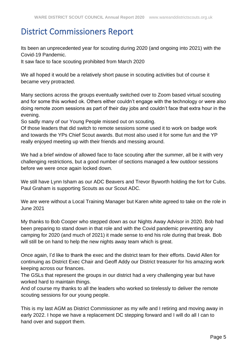### <span id="page-4-0"></span>District Commissioners Report

Its been an unprecedented year for scouting during 2020 (and ongoing into 2021) with the Covid-19 Pandemic.

It saw face to face scouting prohibited from March 2020

We all hoped it would be a relatively short pause in scouting activities but of course it became very protracted.

Many sections across the groups eventually switched over to Zoom based virtual scouting and for some this worked ok. Others either couldn't engage with the technology or were also doing remote zoom sessions as part of their day jobs and couldn't face that extra hour in the evening.

So sadly many of our Young People missed out on scouting.

Of those leaders that did switch to remote sessions some used it to work on badge work and towards the YPs Chief Scout awards. But most also used it for some fun and the YP really enjoyed meeting up with their friends and messing around.

We had a brief window of allowed face to face scouting after the summer, all be it with very challenging restrictions, but a good number of sections managed a few outdoor sessions before we were once again locked down.

We still have Lynn Isham as our ADC Beavers and Trevor Byworth holding the fort for Cubs. Paul Graham is supporting Scouts as our Scout ADC.

We are were without a Local Training Manager but Karen white agreed to take on the role in June 2021

My thanks to Bob Cooper who stepped down as our Nights Away Advisor in 2020. Bob had been preparing to stand down in that role and with the Covid pandemic preventing any camping for 2020 (and much of 2021) it made sense to end his role during that break. Bob will still be on hand to help the new nights away team which is great.

Once again, I'd like to thank the exec and the district team for their efforts. David Allen for continuing as District Exec Chair and Geoff Addy our District treasurer for his amazing work keeping across our finances.

The GSLs that represent the groups in our district had a very challenging year but have worked hard to maintain things.

And of course my thanks to all the leaders who worked so tirelessly to deliver the remote scouting sessions for our young people.

This is my last AGM as District Commissioner as my wife and I retiring and moving away in early 2022. I hope we have a replacement DC stepping forward and I will do all I can to hand over and support them.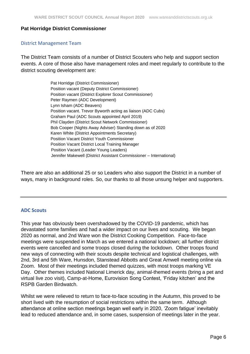### **Pat Horridge District Commissioner**

#### <span id="page-5-0"></span>District Management Team

The District Team consists of a number of District Scouters who help and support section events. A core of those also have management roles and meet regularly to contribute to the district scouting development are:

> Pat Horridge (District Commissioner) Position vacant (Deputy District Commissioner) Position vacant (District Explorer Scout Commissioner) Peter Raymen (ADC Development) Lynn Isham (ADC Beavers) Position vacant. Trevor Byworth acting as liaison (ADC Cubs) Graham Paul (ADC Scouts appointed April 2019) Phil Clayden (District Scout Network Commissioner) Bob Cooper (Nights Away Adviser) Standing down as of 2020 Karen White (District Appointments Secretary) Position Vacant District Youth Commissioner Position Vacant District Local Training Manager Position Vacant (Leader Young Leaders) Jennifer Makewell (District Assistant Commissioner – International)

There are also an additional 25 or so Leaders who also support the District in a number of ways, many in background roles. So, our thanks to all those unsung helper and supporters.

#### <span id="page-5-1"></span>**ADC Scouts**

This year has obviously been overshadowed by the COVID-19 pandemic, which has devastated some families and had a wider impact on our lives and scouting. We began 2020 as normal, and 2nd Ware won the District Cooking Competition. Face-to-face meetings were suspended in March as we entered a national lockdown; all further district events were cancelled and some troops closed during the lockdown. Other troops found new ways of connecting with their scouts despite technical and logistical challenges, with 2nd, 3rd and 5th Ware, Hunsdon, Stanstead Abbotts and Great Amwell meeting online via Zoom. Most of their meetings included themed quizzes, with most troops marking VE Day. Other themes included National Limerick day, animal-themed events (bring a pet and virtual live zoo visit), Camp-at-Home, Eurovision Song Contest, 'Friday kitchen' and the RSPB Garden Birdwatch.

Whilst we were relieved to return to face-to-face scouting in the Autumn, this proved to be short lived with the resumption of social restrictions within the same term. Although attendance at online section meetings began well early in 2020, 'Zoom fatigue' inevitably lead to reduced attendance and, in some cases, suspension of meetings later in the year.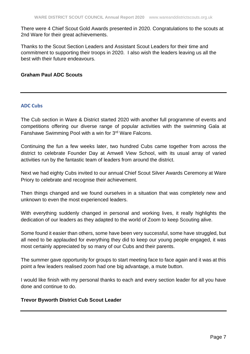There were 4 Chief Scout Gold Awards presented in 2020. Congratulations to the scouts at 2nd Ware for their great achievements.

Thanks to the Scout Section Leaders and Assistant Scout Leaders for their time and commitment to supporting their troops in 2020. I also wish the leaders leaving us all the best with their future endeavours.

### **Graham Paul ADC Scouts**

### <span id="page-6-0"></span>**ADC Cubs**

The Cub section in Ware & District started 2020 with another full programme of events and competitions offering our diverse range of popular activities with the swimming Gala at Fanshawe Swimming Pool with a win for 3rd Ware Falcons.

Continuing the fun a few weeks later, two hundred Cubs came together from across the district to celebrate Founder Day at Amwell View School, with its usual array of varied activities run by the fantastic team of leaders from around the district.

Next we had eighty Cubs invited to our annual Chief Scout Silver Awards Ceremony at Ware Priory to celebrate and recognise their achievement.

Then things changed and we found ourselves in a situation that was completely new and unknown to even the most experienced leaders.

With everything suddenly changed in personal and working lives, it really highlights the dedication of our leaders as they adapted to the world of Zoom to keep Scouting alive.

Some found it easier than others, some have been very successful, some have struggled, but all need to be applauded for everything they did to keep our young people engaged, it was most certainly appreciated by so many of our Cubs and their parents.

The summer gave opportunity for groups to start meeting face to face again and it was at this point a few leaders realised zoom had one big advantage, a mute button.

I would like finish with my personal thanks to each and every section leader for all you have done and continue to do.

### **Trevor Byworth District Cub Scout Leader**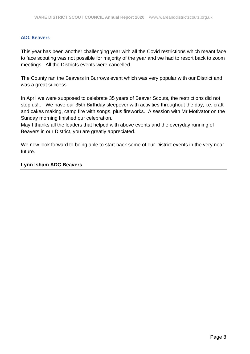#### <span id="page-7-0"></span>**ADC Beavers**

This year has been another challenging year with all the Covid restrictions which meant face to face scouting was not possible for majority of the year and we had to resort back to zoom meetings. All the Districts events were cancelled.

The County ran the Beavers in Burrows event which was very popular with our District and was a great success.

In April we were supposed to celebrate 35 years of Beaver Scouts, the restrictions did not stop us!.. We have our 35th Birthday sleepover with activities throughout the day, i.e. craft and cakes making, camp fire with songs, plus fireworks. A session with Mr Motivator on the Sunday morning finished our celebration.

May I thanks all the leaders that helped with above events and the everyday running of Beavers in our District, you are greatly appreciated.

We now look forward to being able to start back some of our District events in the very near future.

### **Lynn Isham ADC Beavers**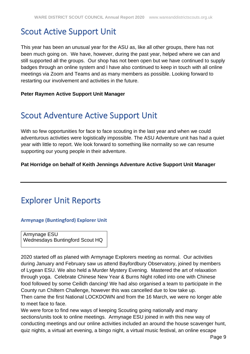### <span id="page-8-0"></span>Scout Active Support Unit

This year has been an unusual year for the ASU as, like all other groups, there has not been much going on. We have, however, during the past year, helped where we can and still supported all the groups. Our shop has not been open but we have continued to supply badges through an online system and I have also continued to keep in touch with all online meetings via Zoom and Teams and as many members as possible. Looking forward to restarting our involvement and activities in the future.

### **Peter Raymen Active Support Unit Manager**

### <span id="page-8-1"></span>Scout Adventure Active Support Unit

With so few opportunities for face to face scouting in the last year and when we could adventurous activities were logistically impossible. The ASU Adventure unit has had a quiet year with little to report. We look forward to something like normality so we can resume supporting our young people in their adventure.

**Pat Horridge on behalf of Keith Jennings Adventure Active Support Unit Manager**

### <span id="page-8-2"></span>Explorer Unit Reports

### <span id="page-8-3"></span>**Armynage (Buntingford) Explorer Unit**

Armynage ESU Wednesdays Buntingford Scout HQ

2020 started off as planed with Armynage Explorers meeting as normal. Our activities during January and February saw us attend Bayfordbury Observatory, joined by members of Lygean ESU. We also held a Murder Mystery Evening. Mastered the art of relaxation through yoga. Celebrate Chinese New Year & Burns Night rolled into one with Chinese food followed by some Ceilidh dancing! We had also organised a team to participate in the County run Chiltern Challenge, however this was cancelled due to low take up.

Then came the first National LOCKDOWN and from the 16 March, we were no longer able to meet face to face.

We were force to find new ways of keeping Scouting going nationally and many sections/units took to online meetings. Armynage ESU joined in with this new way of conducting meetings and our online activities included an around the house scavenger hunt, quiz nights, a virtual art evening, a bingo night, a virtual music festival, an online escape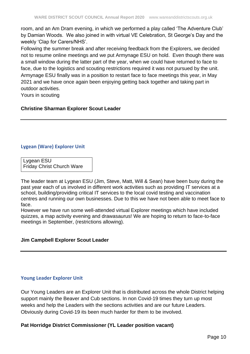room, and an Am Dram evening, in which we performed a play called 'The Adventure Club' by Damian Woods. We also joined in with virtual VE Celebration, St George's Day and the weekly 'Clap for Carers/NHS'.

Following the summer break and after receiving feedback from the Explorers, we decided not to resume online meetings and we put Armynage ESU on hold. Even though there was a small window during the latter part of the year, when we could have returned to face to face, due to the logistics and scouting restrictions required it was not pursued by the unit. Armynage ESU finally was in a position to restart face to face meetings this year, in May 2021 and we have once again been enjoying getting back together and taking part in outdoor activities.

Yours in scouting

### **Christine Sharman Explorer Scout Leader**

### <span id="page-9-0"></span>**Lygean (Ware) Explorer Unit**

Lygean ESU Friday Christ Church Ware

The leader team at Lygean ESU (Jim, Steve, Matt, Will & Sean) have been busy during the past year each of us involved in different work activities such as providing IT services at a school, building/providing critical IT services to the local covid testing and vaccination centres and running our own businesses. Due to this we have not been able to meet face to face.

However we have run some well-attended virtual Explorer meetings which have included quizzes, a map activity evening and drawasaurus! We are hoping to return to face-to-face meetings in September, (restrictions allowing).

### **Jim Campbell Explorer Scout Leader**

### <span id="page-9-1"></span>**Young Leader Explorer Unit**

Our Young Leaders are an Explorer Unit that is distributed across the whole District helping support mainly the Beaver and Cub sections. In non Covid-19 times they turn up most weeks and help the Leaders with the sections activities and are our future Leaders. Obviously during Covid-19 its been much harder for them to be involved.

### **Pat Horridge District Commissioner (YL Leader position vacant)**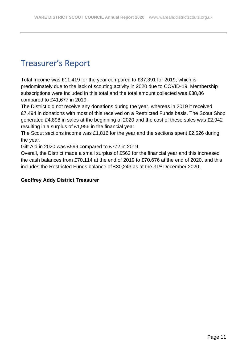## <span id="page-10-0"></span>Treasurer's Report

Total Income was £11,419 for the year compared to £37,391 for 2019, which is predominately due to the lack of scouting activity in 2020 due to COVID-19. Membership subscriptions were included in this total and the total amount collected was £38,86 compared to £41,677 in 2019.

The District did not receive any donations during the year, whereas in 2019 it received £7,494 in donations with most of this received on a Restricted Funds basis. The Scout Shop generated £4,898 in sales at the beginning of 2020 and the cost of these sales was £2,942 resulting in a surplus of £1,956 in the financial year.

The Scout sections income was £1,816 for the year and the sections spent £2,526 during the year.

Gift Aid in 2020 was £599 compared to £772 in 2019.

Overall, the District made a small surplus of £562 for the financial year and this increased the cash balances from £70,114 at the end of 2019 to £70,676 at the end of 2020, and this includes the Restricted Funds balance of £30,243 as at the 31<sup>st</sup> December 2020.

### **Geoffrey Addy District Treasurer**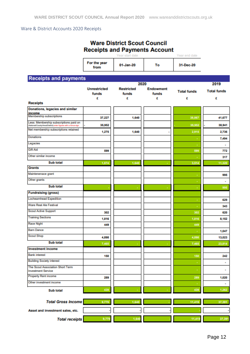<span id="page-11-0"></span>Ware & District Accounts 2020 Receipts

|                                                                      | <b>Receipts and Payments Account</b> | <b>Ware District Scout Council</b><br>Year start date |                    | Year end date      |                    |
|----------------------------------------------------------------------|--------------------------------------|-------------------------------------------------------|--------------------|--------------------|--------------------|
|                                                                      | For the year<br>from                 | 01-Jan-20                                             | To                 | 31-Dec-20          |                    |
| <b>Receipts and payments</b>                                         |                                      |                                                       |                    |                    |                    |
|                                                                      |                                      | 2020                                                  |                    |                    | 2019               |
|                                                                      | <b>Unrestricted</b><br>funds         | <b>Restricted</b><br>funds                            | Endowment<br>funds | <b>Total funds</b> | <b>Total funds</b> |
| <b>Receipts</b>                                                      | £                                    | £                                                     | £                  | £                  | £                  |
| Donations, legacies and similar                                      |                                      |                                                       |                    |                    |                    |
| income<br><b>Membership subscriptions</b>                            |                                      |                                                       |                    |                    |                    |
| Less: Membership subscriptions paid on                               | 37.227                               | 1,640                                                 |                    | 38,867             | 41,677             |
| National/County/Area/District) enter figures with a minus sign       | 35,952                               |                                                       |                    | 35,952             | 38,941             |
| Net membership subscriptions retained                                | 1,275                                | 1,640                                                 |                    | 2.915              | 2,736              |
| <b>Donations</b>                                                     |                                      |                                                       |                    |                    | 7,494              |
| Legacies                                                             |                                      |                                                       |                    |                    | $\sim$             |
| Gift Aid                                                             | 599                                  |                                                       |                    | 599                | 772                |
| Other similar income                                                 |                                      |                                                       |                    |                    | 317                |
| Sub total                                                            | 1,874                                | 1,640                                                 |                    | 3,514              | 11,320             |
| Grants                                                               |                                      |                                                       |                    |                    |                    |
| Maintenenace grant                                                   |                                      |                                                       |                    |                    | 995                |
| Other grants                                                         |                                      |                                                       |                    |                    | $\mathbf{r}$       |
| Sub total                                                            |                                      |                                                       |                    |                    | 995                |
| <b>Fundraising (gross)</b>                                           |                                      |                                                       |                    |                    |                    |
| Locheamhead Expedition                                               |                                      |                                                       |                    |                    | 629                |
| Ware Real Ale Festival                                               |                                      |                                                       |                    |                    | 343                |
| <b>Scout Active Support</b>                                          | 302                                  |                                                       |                    | 302                | 620                |
| <b>Training Sections</b>                                             | 1,816                                |                                                       |                    | 1,816              | 8,152              |
| Race Night                                                           | 449                                  |                                                       |                    | 449                |                    |
| <b>Barn Dance</b>                                                    |                                      |                                                       |                    |                    | 1,047              |
| <b>Scout Shop</b>                                                    | 4,898                                |                                                       |                    | 4,898              | 13,023             |
| Sub total                                                            | 7,465                                |                                                       |                    | 7,465              | 23,814             |
| <b>Investment income</b>                                             |                                      |                                                       |                    |                    |                    |
| <b>Bank interest</b>                                                 | 150                                  |                                                       |                    | 150                | 242                |
| <b>Building Society interest</b>                                     |                                      |                                                       |                    |                    | ٠                  |
| <b>The Scout Association Short Term</b><br><b>Investment Service</b> |                                      |                                                       |                    | ×                  | $\blacksquare$     |
| <b>Property Rent income</b>                                          | 289                                  |                                                       |                    | 289                | 1,020              |
| Other investment income                                              |                                      |                                                       |                    |                    | ٠                  |
| Sub total                                                            | 439                                  |                                                       |                    | 439                | 1,262              |
| <b>Total Gross Income</b>                                            | 9,779                                | 1,640                                                 |                    | 11,419             | 37,391             |
| Asset and investment sales, etc.                                     |                                      |                                                       |                    |                    |                    |
| <b>Total receipts</b>                                                | 9,779                                | 1,640                                                 |                    | 11,419             | 37,391             |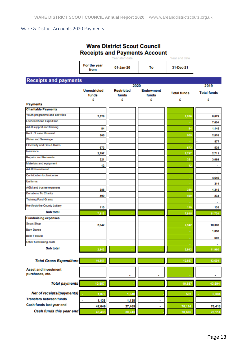### <span id="page-12-0"></span>Ware & District Accounts 2020 Payments

|                                                              |                                   | <b>Ware District Scout Council</b><br>Year start date | <b>Receipts and Payments Account</b> | Year end date           |                         |
|--------------------------------------------------------------|-----------------------------------|-------------------------------------------------------|--------------------------------------|-------------------------|-------------------------|
|                                                              | For the year<br>from              | 01-Jan-20                                             | To                                   | 31-Dec-21               |                         |
| <b>Receipts and payments</b>                                 |                                   |                                                       |                                      |                         |                         |
|                                                              |                                   |                                                       | 2020                                 |                         | 2019                    |
|                                                              | <b>Unrestricted</b><br>funds<br>£ | <b>Restricted</b><br>funds<br>£                       | <b>Endowment</b><br>funds<br>e       | <b>Total funds</b><br>£ | <b>Total funds</b><br>£ |
| <b>Payments</b>                                              |                                   |                                                       |                                      |                         |                         |
| <b>Charitable Payments</b>                                   |                                   |                                                       |                                      |                         |                         |
| Youth programme and activities                               | 2,526                             |                                                       |                                      | 2,526                   | 8,079                   |
| <b>Locheamhead Expedition</b>                                |                                   |                                                       |                                      |                         | 7,604                   |
| Adult support and training                                   | 84                                |                                                       |                                      | 84                      | 1.145                   |
| Rent / Lease Renewal                                         | 505                               |                                                       |                                      | 505                     | 2.826                   |
| Water and Sewerage                                           |                                   |                                                       |                                      | ٠                       | 877                     |
| <b>Electricity and Gas &amp; Rates</b>                       | 673                               |                                                       |                                      | 673                     | 538                     |
| Insurance                                                    | 2,797                             |                                                       |                                      | 2,797                   | 2,711                   |
| <b>Repairs and Renewals</b>                                  | 321                               |                                                       |                                      | 321                     | 3,069                   |
| Materials and equipment                                      | 12                                |                                                       |                                      | 12                      | ×                       |
| <b>Adult Recruitment</b>                                     |                                   |                                                       |                                      | ٠                       | ٠                       |
| Contribution to Jamboree                                     |                                   |                                                       |                                      |                         | 4,640                   |
| <b>Uniforms</b>                                              |                                   |                                                       |                                      | $\sim$                  | 314                     |
| AGM and trustee expenses                                     | 388                               |                                                       |                                      | 388                     | 1,315                   |
| <b>Donations To Charity</b>                                  | 499                               |                                                       |                                      | 499                     | 234                     |
| <b>Training Fund Grants</b>                                  |                                   |                                                       |                                      | ٠                       | ٠                       |
| <b>Hertfordshire County Lottery</b>                          | 110                               |                                                       |                                      | 110                     | 135                     |
| Sub total                                                    | 7,915                             |                                                       |                                      | 7,915                   | 31,734                  |
| <b>Fundraising expenses</b>                                  |                                   |                                                       |                                      |                         |                         |
| <b>Scout Shop</b>                                            | 2,942                             |                                                       |                                      | 2,942                   | 10,308                  |
| <b>Barn Dance</b>                                            |                                   |                                                       |                                      |                         | 1,050                   |
| <b>Beer Festival</b>                                         |                                   |                                                       |                                      | ٠                       | 602                     |
| Other fundraising costs                                      |                                   |                                                       |                                      |                         | ٠                       |
| Sub total                                                    | 2,942                             |                                                       |                                      | 2,942                   | 11,960                  |
| <b>Total Gross Expenditure</b>                               | 10,857                            |                                                       |                                      | 10,857                  | 43,694                  |
| <b>Asset and investment</b>                                  |                                   |                                                       |                                      |                         |                         |
| purchases, etc.                                              |                                   | ٠                                                     | ٠                                    |                         | ٠                       |
| <b>Total payments</b>                                        | 10,857                            |                                                       |                                      | 10,857                  | 43,694                  |
|                                                              |                                   |                                                       |                                      |                         |                         |
| Net of receipts/(payments)<br><b>Transfers between funds</b> | 1,078                             | 1,640                                                 |                                      | 562                     | 6,304                   |
| Cash funds last year end                                     | 1,138<br>٠                        | 1,138                                                 | ٠                                    | ٠                       |                         |
| Cash funds this year end                                     | 42,649                            | 27,465                                                | ٠                                    | 70,114                  | 76,418                  |
|                                                              | 40,433                            | 30,243                                                |                                      | 70,676                  | 70,114                  |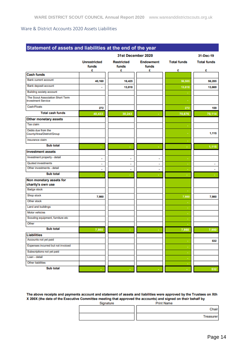#### <span id="page-13-0"></span>Ware & District Accounts 2020 Assets Liabilities

|                                                               |                              | 31st December 2020         |                           |                    | 31-Dec-19          |
|---------------------------------------------------------------|------------------------------|----------------------------|---------------------------|--------------------|--------------------|
|                                                               | <b>Unrestricted</b><br>funds | <b>Restricted</b><br>funds | <b>Endowment</b><br>funds | <b>Total funds</b> | <b>Total funds</b> |
| <b>Cash funds</b>                                             | £                            | £                          | £                         | £                  | £                  |
| <b>Bank current account</b>                                   |                              |                            |                           |                    |                    |
|                                                               | 40,160                       | 16,425                     |                           | 56,585             | 56,285             |
| Bank deposit account                                          | ٠                            | 13,818                     |                           | 13,818             | 13,669             |
| <b>Building society account</b>                               |                              |                            |                           |                    |                    |
| The Scout Association Short Term<br><b>Investment Service</b> |                              |                            |                           |                    |                    |
| Cash/Floats                                                   | 272                          |                            |                           | 272                | 159                |
| <b>Total cash funds</b>                                       | 40,433                       | 30,243                     |                           | 70,676             | 70,114             |
| <b>Other monetary assets</b>                                  |                              |                            |                           |                    |                    |
| Tax claim                                                     |                              |                            |                           |                    |                    |
| Debts due from the<br>County/Area/District/Group              |                              |                            |                           |                    | 1,115              |
| Insurance claim                                               |                              |                            |                           |                    |                    |
| <b>Sub total</b>                                              |                              |                            |                           |                    | 1,115              |
| <b>Investment assets</b>                                      |                              |                            |                           |                    |                    |
| Investment property - detail                                  | ٠                            | ٠                          | ٠                         |                    |                    |
| Quoted investments                                            | ٠                            | ٠                          | ٠                         |                    | ٠                  |
| Other investments - detail                                    | ٠                            |                            | ٠                         |                    |                    |
| <b>Sub total</b>                                              |                              |                            |                           |                    |                    |
| Non monetary assets for                                       |                              |                            |                           |                    |                    |
| charity's own use                                             |                              |                            |                           |                    |                    |
| <b>Badge stock</b>                                            |                              |                            |                           |                    |                    |
| Shop stock                                                    | 7,980                        |                            |                           | 7,980              | 7,980              |
| Other stock                                                   |                              |                            |                           |                    |                    |
| Land and buildings                                            |                              |                            |                           |                    |                    |
| Motor vehicles                                                |                              |                            |                           |                    |                    |
| Scouting equipment, furniture etc                             |                              |                            |                           |                    |                    |
| Other                                                         |                              |                            |                           |                    |                    |
| <b>Sub total</b>                                              | 7,980                        |                            |                           | 7,980              | 7,980              |
| <b>Liabilities</b>                                            |                              |                            |                           |                    |                    |
| Accounts not yet paid                                         |                              |                            |                           |                    | 532                |
| Expenses incurred but not invoiced                            |                              |                            |                           |                    |                    |
| Subscriptions not yet paid                                    |                              |                            |                           |                    |                    |
| Loan - detail                                                 |                              |                            |                           |                    |                    |
| Other liabilities                                             |                              |                            |                           |                    |                    |
| <b>Sub total</b>                                              |                              |                            |                           |                    | 532                |

The above receipts and payments account and statement of assets and liabilities were approved by the Trustees on Xth X 200X (the date of the Executive Committee meeting that approved the accounts) and signed on their behalf by Signature .<br>Print Name

| <b>Olyhame</b> | <b>FINILIVANIS</b> |
|----------------|--------------------|
|                | Chair              |
|                | <b>Treasurer</b>   |